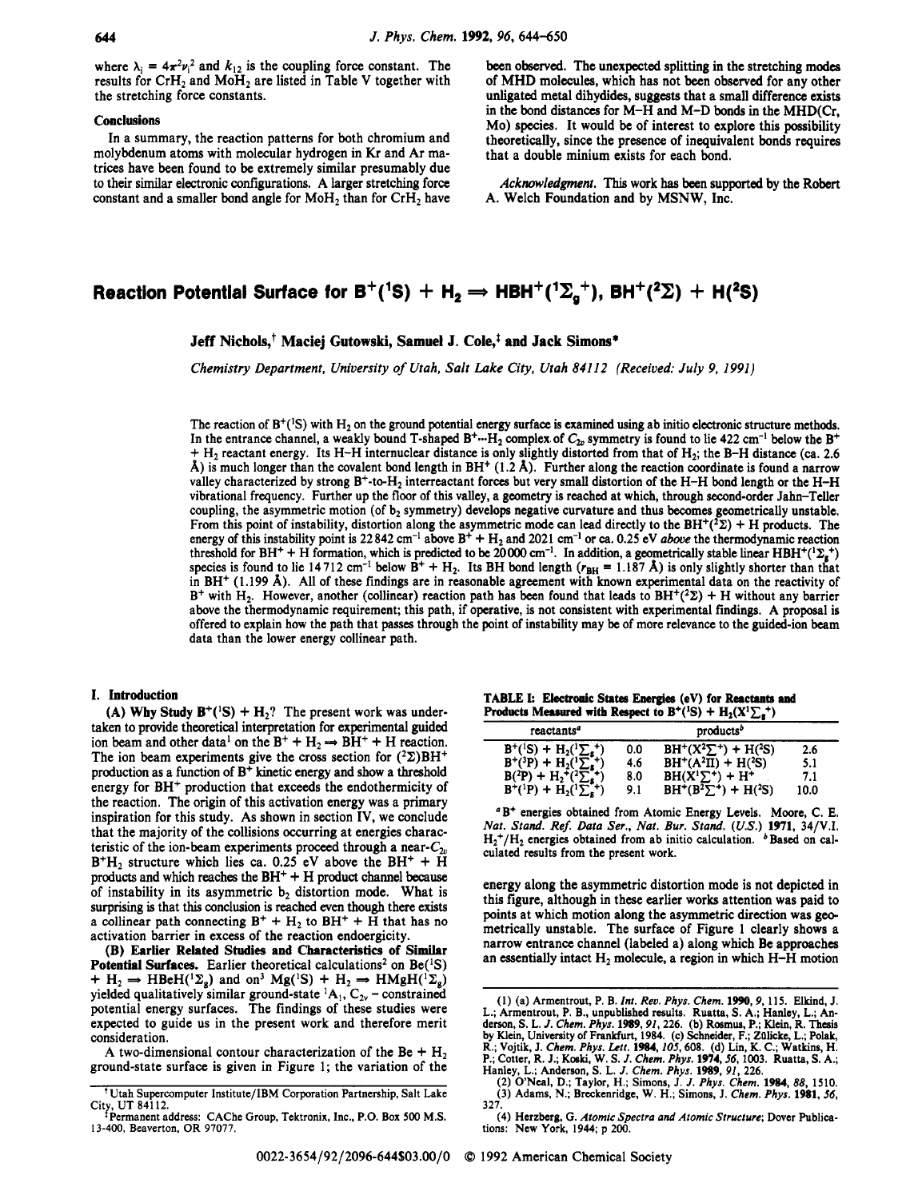where  $\lambda_i = 4\pi^2 v_i^2$  and  $k_{12}$  is the coupling force constant. The results for  $CrH<sub>2</sub>$  and  $MoH<sub>2</sub>$  are listed in Table V together with the stretching force constants.

#### **Conclusions**

In a summary, the reaction patterns for both chromium and molybdenum atoms with molecular hydrogen in Kr and Ar matrices have been found to be extremely similar presumably due to their similar electronic configurations. A larger stretching force constant and a smaller bond angle for  $MoH<sub>2</sub>$  than for  $CrH<sub>2</sub>$  have been observed. The unexpected splitting in the stretching modes of MHD molecules, which has not been observed for any other unligated metal dihydides, **suggests** that a small difference exists in the bond distances for M-H and M-D bonds in the MHD(Cr, Mo) species. It would be of interest to explore this possibility theoretically, since the presence of inequivalent bonds requires that a double minium exists for each bond.

*Acknowledgment.* This work **has** been supported by the Robert A. Welch Foundation and by MSNW, Inc.

# **Reaction Potential Surface for B<sup>+</sup>(<sup>1</sup>S) + H<sub>2</sub>**  $\Rightarrow$  **HBH<sup>+</sup>(<sup>1</sup>** $\Sigma_a$ **<sup>+</sup>), BH<sup>+</sup>(<sup>2</sup>** $\Sigma$ **) + H(<sup>2</sup>S)**

### **Jeff Nichols,+ Maciej Gutowski, Samuel J. Cole,\$ and Jack Simons\***

*Chemistry Department, University of Utah, Salt Lake City, Utah 84112 (Received: July 9, 1991)* 

The reaction of  $B^+(S)$  with  $H_2$  on the ground potential energy surface is examined using ab initio electronic structure methods. In the entrance channel, a weakly bound T-shaped  $B^+\cdots H_2$  complex of  $C_{2v}$  symmetry is found to lie 422 cm<sup>-1</sup> below the B<sup>+</sup> + H2 reactant energy. Its H-H internuclear distance is only slightly distorted from that of H2; the B-H distance *(ca.* **2.6**   $\hat{A}$ ) is much longer than the covalent bond length in BH<sup>+</sup> (1.2  $\hat{A}$ ). Further along the reaction coordinate is found a narrow valley characterized by strong  $B^+$ -to-H<sub>2</sub> interreactant forces but very small distortion of the H-H bond length or the H-H vibrational frequency. Further up the floor of this valley, a geometry is reached at which, through second-order Jahn-Teller coupling, the asymmetric motion (of  $b_2$  symmetry) develops negative curvature and thus becomes geometrically unstable. From this point of instability, distortion along the asymmetric mode can lead directly to the BH<sup>+(2</sup> $\Sigma$ ) + H products. The energy of this instability point is  $22842 \text{ cm}^{-1}$  above B<sup>+</sup> + H<sub>2</sub> and  $2021 \text{ cm}^{-1}$  or ca. 0.25 eV *above* the thermodynamic reaction threshold for BH<sup>+</sup> + H formation, which is predicted to be 20000 cm<sup>-1</sup>. In addition, a geometrically stable linear HBH<sup>+(1</sup> $\Sigma_g$ <sup>+</sup>) species is found to lie 14712 cm<sup>-1</sup> below  $\vec{B}^+ + H_2$ . Its BH bond length  $(r_{BH} = 1.187 \text{ Å})$  is only slightly shorter than that in BH+ **(1.199** A). All of these findings are in reasonable agreement with known experimental data **on** the reactivity of B<sup>+</sup> with H<sub>2</sub>. However, another (collinear) reaction path has been found that leads to BH<sup>+</sup>(<sup>2</sup> $\Sigma$ ) + H without any barrier above the thermodynamic requirement; this path, if operative, is not consistent with experimental finding. A proposal is offered to explain how the path that **passes** through the point of instability may be of more relevance to the guided-ion beam data than the lower energy collinear path.

#### I. Introduction

(A) Why Study  $B^+({}^{1}S) + H_2$ ? The present work was undertaken to provide theoretical interpretation for experimental guided ion beam and other data<sup>1</sup> on the  $B^+ + H_2 \Rightarrow BH^+ + H$  reaction. The ion beam experiments give the cross section for  $(^{2}\Sigma)BH^{+}$ production as a function of B+ kinetic energy and show a threshold energy for BH<sup>+</sup> production that exceeds the endothermicity of the reaction. The origin of this activation energy was a primary inspiration for this study. As shown in section IV, we conclude that the majority of the collisions occurring at energies characteristic of the ion-beam experiments proceed through a near- $C_{2n}$  $B^+H_2$  structure which lies ca. 0.25 eV above the  $BH^+ + \tilde{H}$ **products** and which reaches the BH+ + H **product** channel because of instability in its asymmetric  $b_2$  distortion mode. What is surprising is that this conclusion is reached even though there exists a collinear path connecting  $B^+ + H_2$  to  $BH^+ + \bar{H}$  that has no activation barrier in excess of the reaction endoergicity.

(B) **Earlier Related Studies** and **Characteristics** of **Similar Potential Surfaces.** Earlier theoretical calculations<sup>2</sup> on  $Be(^{1}S)$ + H<sub>2</sub>  $\rightarrow$  HBeH(<sup>1</sup> $\Sigma_g$ ) and on<sup>3</sup> Mg(<sup>1</sup>S) + H<sub>2</sub>  $\rightarrow$  HMgH(<sup>1</sup> $\Sigma_g$ )  $\tau$  H<sub>2</sub>  $\Rightarrow$  HBeH( $^2$ <sub>g</sub>) and on Mg( $^3$ )  $\tau$  H<sub>2</sub>  $\Rightarrow$  HMgH( $^2$ <sub>g</sub>)<br>yielded qualitatively similar ground-state  $^1$ A<sub>1</sub>, C<sub>2v</sub> – constrained potential energy surfaces. The findings of these studies were expected to guide **us** in the present work and therefore merit consideration.

A two-dimensional contour characterization of the Be  $+$  H<sub>2</sub> ground-state surface is given in Figure **1;** the variation of the

|  |                                                                           | TABLE I: Electronic States Energies (eV) for Reactants and |
|--|---------------------------------------------------------------------------|------------------------------------------------------------|
|  | Products Measured with Respect to $B^+(^{1}S) + H_2(X^{1}\sum_{\pi}^{+})$ |                                                            |

| products <sup>b</sup> |                              |      |  |  |
|-----------------------|------------------------------|------|--|--|
| 0.0                   | $BH^+(X^2\Sigma^+) + H(^2S)$ | 2.6  |  |  |
| 4.6                   | $BH^+(A^2\Pi) + H(^2S)$      | 5.1  |  |  |
| 8.0                   | $BH(X^1\Sigma^+) + H^+$      | 7.1  |  |  |
| 9.1                   | $BH^+(B^2\Sigma^+) + H(^2S)$ | 10.0 |  |  |
|                       |                              |      |  |  |

<sup>*a*</sup>B<sup>+</sup> energies obtained from Atomic Energy Levels. Moore, C. E. *Nut. Stand. ReJ Data Ser., Nut. Bur. Stand. (US.)* **1971, 341V.I.**   $H_2^+/H_2$  energies obtained from ab initio calculation.  $b$  Based on calculated results from the present **work.** 

energy along the asymmetric distortion mode is not depicted in this figure, although in these earlier works attention was paid to points at which motion along the asymmetric direction was geometrically unstable. The surface of Figure **1** clearly shows a narrow entrance channel (labeled a) along which Be approaches an essentially intact  $H_2$  molecule, a region in which  $H-H$  motion

~ ~~~~~

**Utah Supercomputer Institute/IBM Corporation Partnership, Salt Lake Permanent address: CAChe Group, Tektronix, Inc., P.O. Box 500 M.S. Permanent address: CAChe Group, Tektronix, Inc., P.O. Box 500 M.S.** 

**<sup>13-400,</sup> Beaverton, OR 97077.** 

**<sup>(1)</sup> (a) Armentrout, P. B.** *Int. Rev. Phys. Chem.* **1990,9, 115. Elkind, J.**  L.; Armentrout, P. B., unpublished results. Ruatta, S. A.; Hanley, L.; Anderson, S. L. J. Chem. Phys. 1989, 91, 226. (b) Rosmus, P.; Klein, R. Thesis by Klein, University of Frankfurt, 1984. (c) Schneider, F.; Zülicke, L.; R.; Vojtik, J. Chem. Phys. Lett. 1984, 105, 608. (d) Lin, K. C.; Watkins, H.<br>P.; Cotter, R. J.; Koski, W. S. J. Chem. Phys. 1974, 56, 1003. Ruatta, S. A.; Hanley, L.; Anderson, S. L. J. Chem. Phys. 1989, 91, 226.<br>(2) O'Nea

**<sup>327.</sup>** 

**<sup>(4)</sup> Herzberg, G.** *Atomic Spectra* **and** *Atomic Structure;* **Dover** Publica-**tions: New York, 1944; p 200.**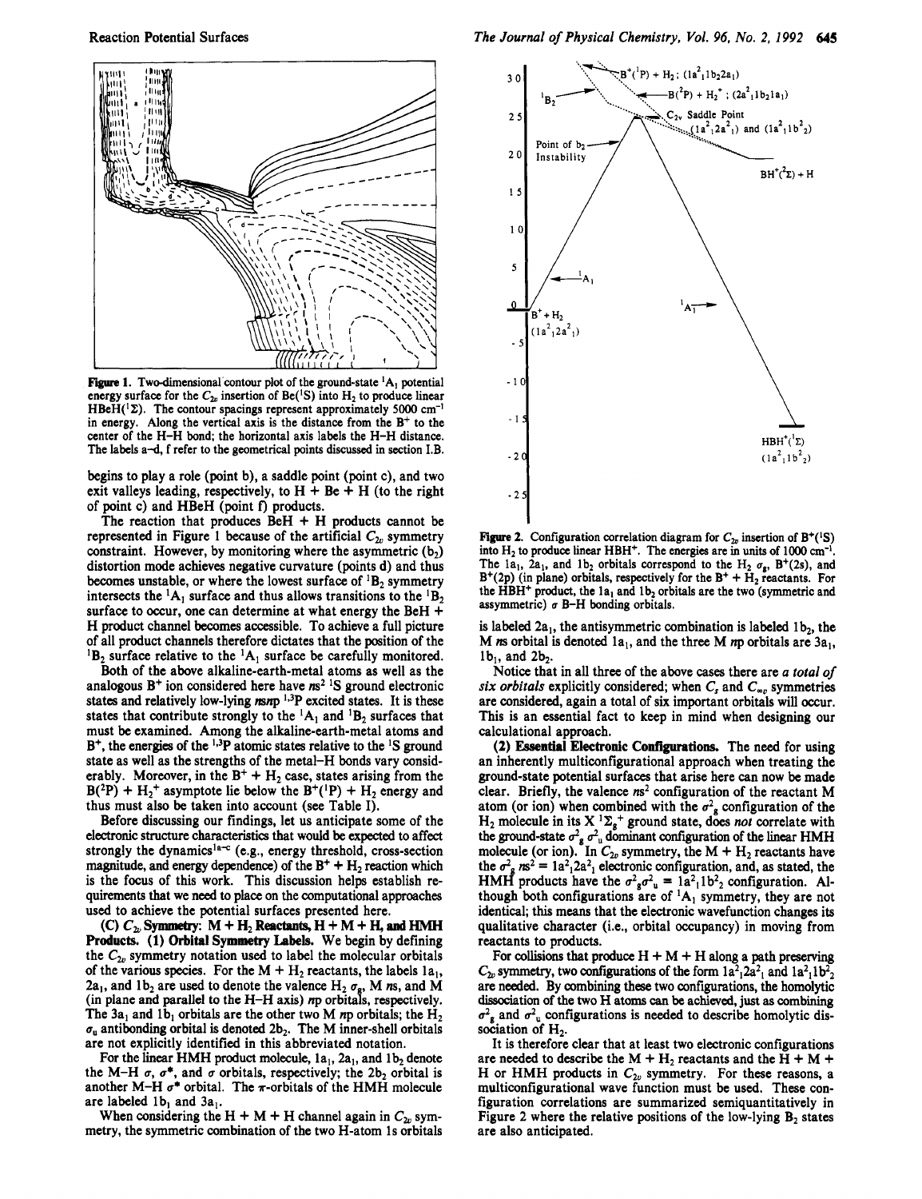

**Figure 1.** Two-dimensional contour plot of the ground-state  ${}^{1}A_1$  potential energy surface for the  $C_{2n}$  insertion of Be(<sup>1</sup>S) into H<sub>2</sub> to produce linear  $HBeH({}^{1}\Sigma)$ . The contour spacings represent approximately 5000 cm<sup>-1</sup> in energy. Along the vertical axis is the distance from the  $B<sup>+</sup>$  to the center of the H-H bond; the horizontal axis labels the H-H distance. The labels a-d, f refer to the geometrical points discussed in section **I.B.** 

begins to play a role (point b), a saddle point (point c), and two exit valleys leading, respectively, to  $H + Be + H$  (to the right of point c) and HBeH (point **f)** products.

The reaction that produces  $BeH + H$  products cannot be represented in Figure 1 because of the artificial  $C_{2v}$  symmetry constraint. However, by monitoring where the asymmetric  $(b_2)$ distortion mode achieves negative curvature (points d) and thus becomes unstable, or where the lowest surface of  ${}^{1}B_{2}$  symmetry intersects the  ${}^{1}A_1$  surface and thus allows transitions to the  ${}^{1}B_2$ surface to occur, one can determine at what energy the BeH + H product channel becomes accessible. To achieve a full picture of all product channels therefore dictates that the position of the  ${}^{1}B_{2}$  surface relative to the  ${}^{1}A_{1}$  surface be carefully monitored.

Both of the above alkaline-earth-metal atoms as well as the analogous B+ ion considered here have *ns2* **IS** ground electronic states and relatively low-lying *msnp*<sup>1,3</sup>P excited states. It is these states that contribute strongly to the  ${}^{1}A_{1}$  and  ${}^{1}B_{2}$  surfaces that must be examined. Among the alkaline-earth-metal atoms and B<sup>+</sup>, the energies of the <sup>1,3</sup>P atomic states relative to the <sup>1</sup>S ground state as well as the strengths of the metal-H bonds vary considerably. Moreover, in the  $B^+ + H_2$  case, states arising from the  $B(^{2}P) + H_{2}^{+}$  asymptote lie below the  $B^{+}(^{1}P) + H_{2}$  energy and thus must also be taken into account **(see** Table I).

Before discussing our findings, let us anticipate some of the electronic **structure** characteristics that would be expected to affect strongly the dynamics<sup>1a-c</sup> (e.g., energy threshold, cross-section magnitude, and energy dependence) of the  $B^+ + H_2$  reaction which is the focus of this work. This discussion helps establish requirements that we need to place on the computational approaches used to achieve the potential surfaces presented here.

**Products. (1)** Orbital **Symmetry Labels.** We begin by defining the  $C_{2v}$  symmetry notation used to label the molecular orbitals of the various species. For the  $M + H_2$  reactants, the labels  $1a_1$ , 2a<sub>1</sub>, and 1b<sub>2</sub> are used to denote the valence H<sub>2</sub>  $\sigma_g$ , M *n*s, and M (in plane and parallel **to** the H-H axis) *np* orbitah, respectively. The 3a<sub>1</sub> and 1b<sub>1</sub> orbitals are the other two M *n*p orbitals; the  $H_2$  $\sigma_u$  antibonding orbital is denoted 2b<sub>2</sub>. The M inner-shell orbitals are not explicitly identified in this abbreviated notation. **(C)**  $C_{2\nu}$  Symmetry:  $M + H_2$  Reactants,  $H + M + H_3$  and HMH

For the linear HMH product molecule, 1a<sub>1</sub>, 2a<sub>1</sub>, and 1b<sub>2</sub> denote the M-H  $\sigma$ ,  $\sigma^*$ , and  $\sigma$  orbitals, respectively; the 2b<sub>2</sub> orbital is another M-H  $\sigma^*$  orbital. The  $\pi$ -orbitals of the HMH molecule are labeled  $1b_1$  and  $3a_1$ .

When considering the H + M + H channel again in  $C_{2v}$  symmetry, the symmetric combination of the two H-atom 1s orbitals



**Figure 2.** Configuration correlation diagram for  $C_{2v}$  insertion of B<sup>+</sup>(<sup>1</sup>S) into  $H_2$  to produce linear HBH<sup>+</sup>. The energies are in units of 1000 cm<sup>-1</sup>. The 1a<sub>1</sub>, 2a<sub>1</sub>, and 1b<sub>2</sub> orbitals correspond to the H<sub>2</sub>  $\sigma_g$ , B<sup>+</sup>(2s), and  $B^{+}(2p)$  (in plane) orbitals, respectively for the  $B^{+} + H_{2}$  reactants. For the HBH<sup>+</sup> product, the la<sub>1</sub> and 1b<sub>2</sub> orbitals are the two (symmetric and assymmetric)  $\sigma$  B-H bonding orbitals.

is labeled  $2a_1$ , the antisymmetric combination is labeled  $1b_2$ , the M *n*s orbital is denoted  $1a_1$ , and the three M *n*p orbitals are  $3a_1$ ,  $1b_1$ , and  $2b_2$ .

Notice that in all three of the above cases there are *a rorul of*   $six$  *orbitals* explicitly considered; when  $C_s$  and  $C_{\infty}$  symmetries are considered, again a total of **six** important orbitals will occur. This is an essential fact to keep in mind when designing our calculational approach.

**(2)** Essential Electronic **Configurations.** The need for using an inherently multiconfigurational approach when treating the ground-state potential surfaces that arise here can now be made clear. Briefly, the valence **m2** configuration of the reactant M atom (or ion) when combined with the  $\sigma_{g}^{2}$  configuration of the  $H_2$  molecule in its  $X^1\Sigma_g^+$  ground state, does *not* correlate with the ground-state  $\sigma_g^2 \sigma_u^2$  dominant configuration of the linear HMH molecule (or ion). In  $C_{2v}$  symmetry, the M + H<sub>2</sub> reactants have the  $\sigma_{\rm g}^2$   $\text{ms}^2 = 1a^2 \cdot 2a^2$  electronic configuration, and, as stated, the HMH products have the  $\sigma^2_{\mathbf{g}}\sigma^2_{\mathbf{u}} = 1a^2_{11}b^2_{22}$  configuration. Although both configurations are of  ${}^{1}A_{1}$  symmetry, they are not identical; this means that the electronic wavefunction changes its qualitative character (i.e., orbital occupancy) in moving from reactants to products.

For collisions that produce  $H + M + H$  along a path preserving  $C_{2v}$  symmetry, two configurations of the form  $1a^2$ <sub>1</sub>2a<sup>2</sup><sub>1</sub> and  $1a^2$ <sub>1</sub>1b<sup>2</sup><sub>2</sub> are needed. By combining these two configurations, the homolytic dissociation of the two H atoms can be achieved, just as combining  $\sigma^2$ <sub>g</sub> and  $\sigma^2$ <sub>u</sub> configurations is needed to describe homolytic dissociation of  $H_2$ .

It is therefore clear that at least two electronic configurations are needed to describe the M + H<sub>2</sub> reactants and the H + M + H or HMH products in  $C_{2v}$  symmetry. For these reasons, a multiconfigurational wave function must be used. These configuration correlations are summarized semiquantitatively in Figure 2 where the relative positions of the low-lying  $B_2$  states are also anticipated.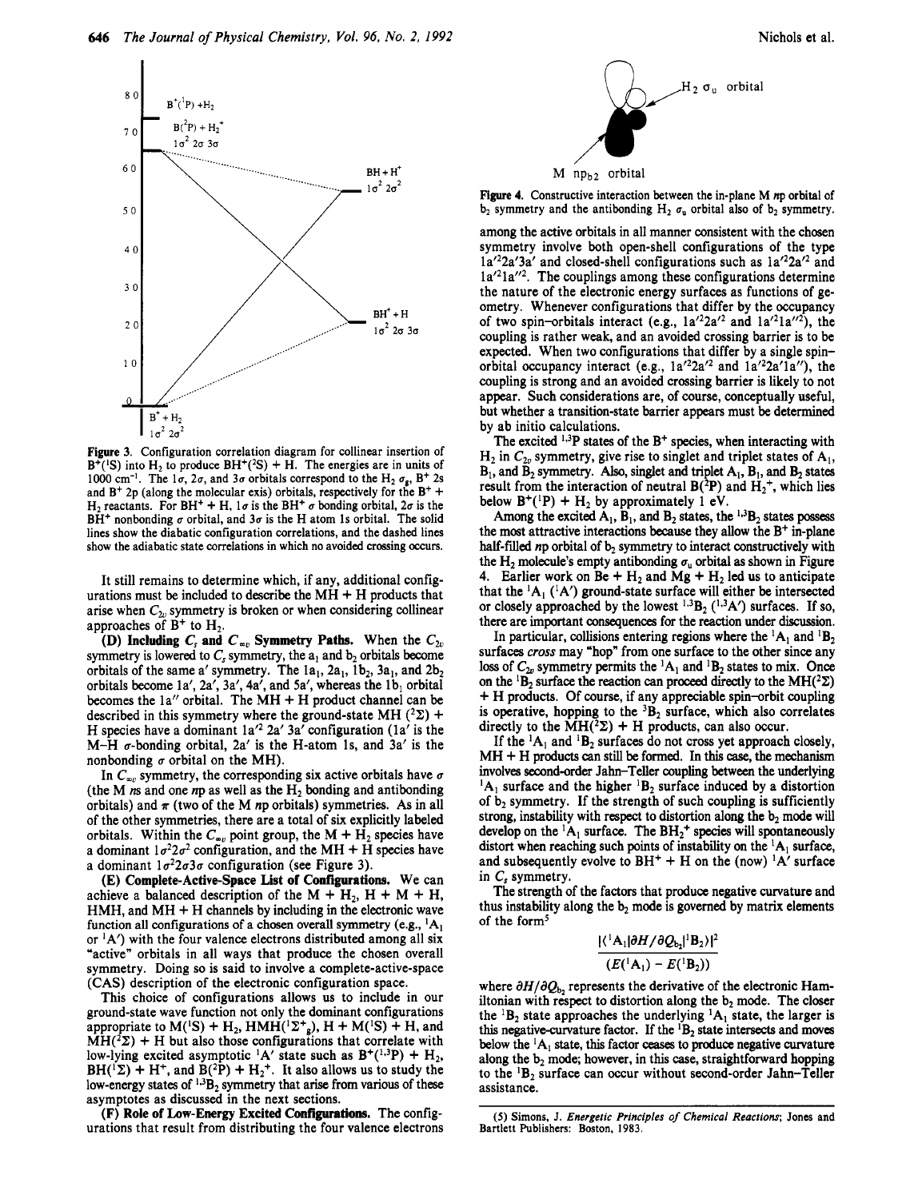

Figure 3. Configuration correlation diagram for collinear insertion of  $B^+(S)$  into H<sub>2</sub> to produce  $BH^+(S) + H$ . The energies are in units of 1000 cm<sup>-1</sup>. The  $1\sigma$ ,  $2\sigma$ , and  $3\sigma$  orbitals correspond to the H<sub>2</sub>  $\sigma_g$ , B<sup>+</sup> 2s and  $B^+$  2p (along the molecular exis) orbitals, respectively for the  $B^+$  + H<sub>2</sub> reactants. For BH<sup>+</sup> + H,  $1\sigma$  is the BH<sup>+</sup>  $\sigma$  bonding orbital,  $2\sigma$  is the  $BH^+$  nonbonding  $\sigma$  orbital, and  $3\sigma$  is the H atom 1s orbital. The solid lines show the diabatic configuration correlations, and the dashed lines show the adiabatic state correlations in which no avoided crossing occurs.

It still remains to determine which, if any, additional configurations must be included to describe the  $MH + H$  products that arise when  $C_{2v}$  symmetry is broken or when considering collinear approaches of  $B^+$  to  $H_2$ .

**(D) Including**  $C_s$  **and**  $C_{\infty}$ **, Symmetry Paths. When the**  $C_{2v}$ symmetry is lowered to  $C_s$  symmetry, the  $a_1$  and  $b_2$  orbitals become orbitals of the same a' symmetry. The  $1a_1$ ,  $2a_1$ ,  $1b_2$ ,  $3a_1$ , and  $2b_2$ orbitals become 1a', 2a', 3a', 4a', and 5a', whereas the  $1\mathbf{b}_1$  orbital becomes the  $1a''$  orbital. The MH  $+$  H product channel can be described in this symmetry where the ground-state MH  $(^{2}\Sigma)$  + H species have a dominant  $1a'^2 2a' 3a'$  configuration ( $1a'$  is the  $M-H$   $\sigma$ -bonding orbital, 2a' is the H-atom 1s, and 3a' is the nonbonding  $\sigma$  orbital on the MH).

In  $C_{\infty}$  symmetry, the corresponding six active orbitals have  $\sigma$ (the M  $ns$  and one  $np$  as well as the  $H<sub>2</sub>$  bonding and antibonding orbitals) and  $\pi$  (two of the M np orbitals) symmetries. As in all of the other symmetries, there are a total of **six** explicitly labeled orbitals. Within the  $C_{\infty}$  point group, the M + H<sub>2</sub> species have a dominant  $1\sigma^2 2\sigma^2$  configuration, and the MH + H species have a dominant  $1\sigma^2 2\sigma 3\sigma$  configuration (see Figure 3).

**(E) Complete-Activespace** List **of Configurations.** We can achieve a balanced description of the  $M + H_2$ ,  $H + M + H$ ,  $HMH$ , and  $MH + H$  channels by including in the electronic wave function all configurations of a chosen overall symmetry (e.g.,  ${}^{1}A_{1}$ ) or  ${}^{1}A'$ ) with the four valence electrons distributed among all six "active" orbitals in all ways that produce the chosen overall symmetry. Doing **so** is said to involve a complete-active-space (CAS) description of the electronic configuration space.

This choice of configurations allows **us** to include in our ground-state wave function not only the dominant configurations appropriate to  $M(^{1}S) + H_{2}$ ,  $HMH(^{1}\Sigma^{+}_{g})$ ,  $H + M(^{1}S) + H_{1}$ , and  $MH(^{2}\Sigma) + H$  but also those configurations that correlate with low-lying excited asymptotic <sup>1</sup>A' state such as  $B^+(^{1,3}P) + H_2$ ,  $BH(^{1}\Sigma) + H^{+}$ , and  $B(^{2}P) + H_{2}^{+}$ . It also allows us to study the low-energy states of  $^{1,3}B_2$  symmetry that arise from various of these asymptotes as discussed in the next sections.

**(F) Role** of **Low-Energy Excited Configurations.** The configurations that result from distributing the four valence electrons



**Figure 4.** Constructive interaction between the in-plane **M** np orbital of  $b_2$  symmetry and the antibonding H<sub>2</sub>  $\sigma$ <sub>u</sub> orbital also of  $b_2$  symmetry.

among the active orbitals in all manner consistent with the chosen symmetry involve both open-shell configurations of the type la<sup>'2</sup>2a'3a' and closed-shell configurations such as la'<sup>2</sup>2a<sup>'2</sup> and  $1a'^{2}1a''^{2}$ . The couplings among these configurations determine the nature of the electronic energy surfaces as functions of geometry. Whenever configurations that differ by the occupancy of two spin-orbitals interact (e.g.,  $1a'^22a'^2$  and  $1a'^21a''^2$ ), the coupling is rather weak, and an avoided crossing barrier is to be expected. When two configurations that differ by a single spinorbital occupancy interact (e.g.,  $1a'^22a'^2$  and  $1a'^22a'1a'$ ), the coupling is strong and an avoided crossing barrier is likely to not appear. Such considerations are, of course, conceptually useful, but whether a transition-state barrier appears must be determined by ab initio calculations.

The excited **1-3P** states of the B+ species, when interacting with  $H_2$  in  $C_{2v}$  symmetry, give rise to singlet and triplet states of  $A_1$ ,  $B_1$ , and  $B_2$  symmetry. Also, singlet and triplet  $A_1$ ,  $B_1$ , and  $B_2$  states result from the interaction of neutral  $B(^{2}P)$  and  $H_2^{+}$ , which lies below  $B^+(P) + H_2$  by approximately 1 eV.

Among the excited  $A_1$ ,  $B_1$ , and  $B_2$  states, the  $^{1,3}B_2$  states possess the most attractive interactions because they allow the  $B^+$  in-plane half-filled np orbital of  $b_2$  symmetry to interact constructively with the H<sub>2</sub> molecule's empty antibonding  $\sigma_u$  orbital as shown in Figure 4. Earlier work on  $Be + H_2$  and  $Mg + H_2$  led us to anticipate that the  ${}^{1}A_{1}$  ( ${}^{1}A'$ ) ground-state surface will either be intersected or closely approached by the lowest  $^{1,3}B_2$  ( $^{1,3}A'$ ) surfaces. If so, there are important consequences for the reaction under discussion.

In particular, collisions entering regions where the  ${}^{1}A_1$  and  ${}^{1}B_2$ surfaces cross may "hop" from one surface to the other since any loss of  $C_{2v}$  symmetry permits the <sup>1</sup>A<sub>1</sub> and <sup>1</sup>B<sub>2</sub> states to mix. Once on the <sup>1</sup>B<sub>2</sub> surface the reaction can proceed directly to the MH(<sup>2</sup> $\Sigma$ ) + H products. Of course, if any appreciable spin-orbit coupling is operative, hopping to the  ${}^{3}B_{2}$  surface, which also correlates directly to the  $MH(^{2}\Sigma) + H$  products, can also occur.

If the  ${}^{1}A_1$  and  ${}^{1}B_2$  surfaces do not cross yet approach closely, MH + H products **can** still be formed. In this *case,* the mechanism involves second-order Jahn-Teller coupling between the underlying  ${}^{1}A_1$  surface and the higher  ${}^{1}B_2$  surface induced by a distortion of  $b_2$  symmetry. If the strength of such coupling is sufficiently strong, instability with respect to distortion along the  $b_2$  mode will develop on the  ${}^{1}A_1$  surface. The  $BH_2$ <sup>+</sup> species will spontaneously distort when reaching such points of instability on the  ${}^{1}A_{1}$  surface, and subsequently evolve to  $BH^+ + H$  on the (now) <sup>1</sup>A' surface in **C,** symmetry.

The strength of the factors that produce negative curvature and thus instability along the  $b_2$  mode is governed by matrix elements of the form<sup>5</sup>

$$
\frac{|\langle \,^1A_1|\partial H/\partial Q_{b_2}|^1B_2\rangle|^2}{(E(^1A_1)-E(^1B_2))}
$$

where  $\partial H/\partial Q_{b}$ , represents the derivative of the electronic Hamiltonian with respect to distortion along the  $b_2$  mode. The closer the  ${}^{1}B_{2}$  state approaches the underlying  ${}^{1}A_{1}$  state, the larger is this negative-curvature factor. If the  ${}^{1}B_{2}$  state intersects and moves below the  ${}^{1}A_1$  state, this factor ceases to produce negative curvature along the  $b_2$  mode; however, in this case, straightforward hopping to the  ${}^{1}B_{2}$  surface can occur without second-order Jahn-Teller assistance.

*<sup>(5)</sup>* Simons, J. Energetic Principles *of Chemicul Reuctions;* Jones and Bartlett Publishers: Boston, 1983.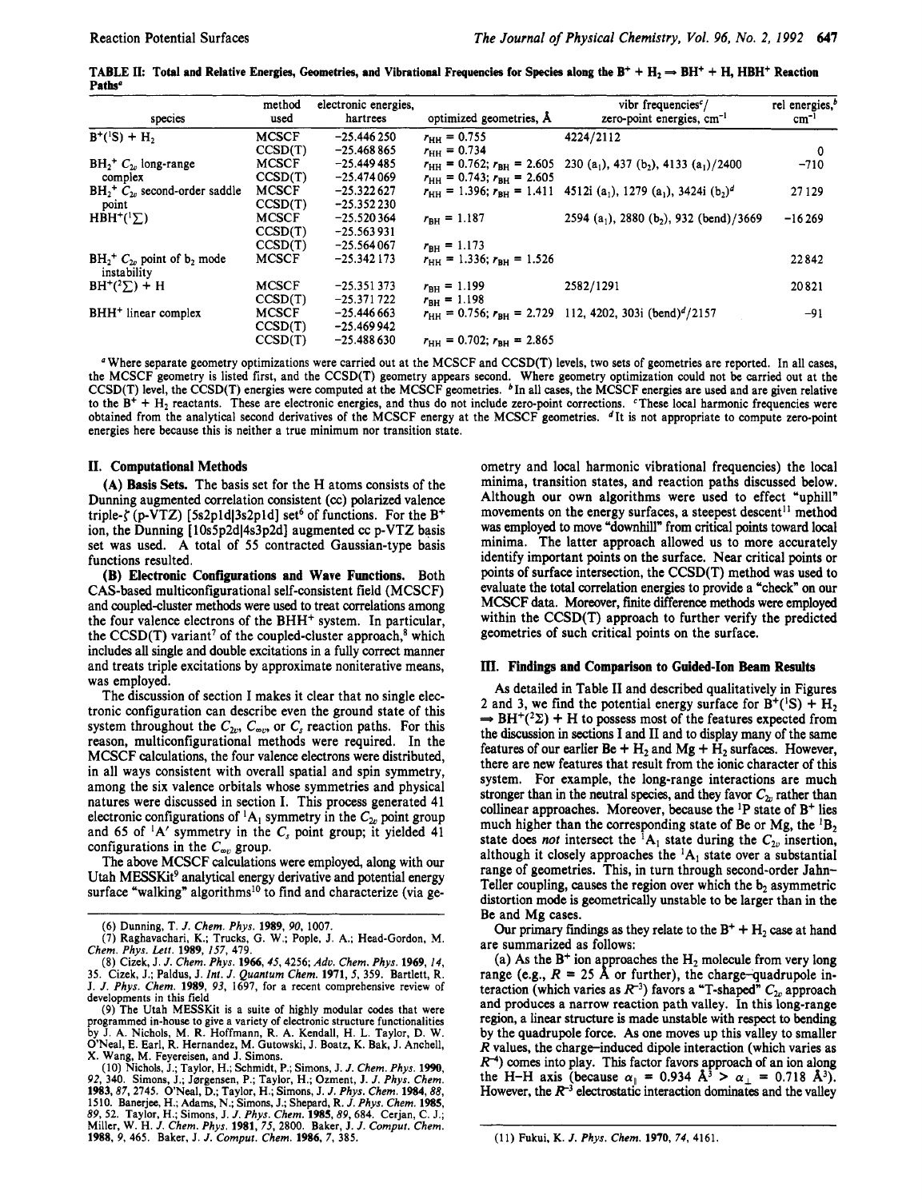**TABLE II:** Total and Relative Energies, Geometries, and Vibrational Frequencies for Species along the  $B^+ + H_2 \rightarrow BH^+ + H$ , HBH<sup>+</sup> Reaction **Paths"** 

| species                                                  | method<br>used | electronic energies.<br>hartrees | optimized geometries, Å                           | vibr frequencies <sup>c</sup> /<br>zero-point energies, cm <sup>-1</sup>                                                                | rel energies, <sup>b</sup><br>$cm^{-1}$ |
|----------------------------------------------------------|----------------|----------------------------------|---------------------------------------------------|-----------------------------------------------------------------------------------------------------------------------------------------|-----------------------------------------|
| $B^{+}(^{1}S) + H_{2}$                                   | <b>MCSCF</b>   | $-25.446250$                     | $r_{\text{HH}} = 0.755$                           | 4224/2112                                                                                                                               |                                         |
|                                                          | CCSD(T)        | $-25.468865$                     | $r_{\text{HH}} = 0.734$                           |                                                                                                                                         | 0                                       |
| $BH2+ C2$ , long-range<br>complex                        | <b>MCSCF</b>   | $-25.449485$                     |                                                   | $r_{\text{HH}} = 0.762$ ; $r_{\text{BH}} = 2.605$ 230 (a <sub>1</sub> ), 437 (b <sub>2</sub> ), 4133 (a <sub>1</sub> )/2400             | $-710$                                  |
|                                                          | CCSD(T)        | $-25.474069$                     | $r_{\text{HH}} = 0.743$ ; $r_{\text{RH}} = 2.605$ |                                                                                                                                         |                                         |
| $BH_2^+$ $C_{2v}$ second-order saddle                    | <b>MCSCF</b>   | $-25.322627$                     |                                                   | $r_{\text{HH}} = 1.396$ ; $r_{\text{RH}} = 1.411$ 4512i (a <sub>1</sub> ), 1279 (a <sub>1</sub> ), 3424i (b <sub>2</sub> ) <sup>d</sup> | 27129                                   |
| point                                                    | CCSD(T)        | $-25.352230$                     |                                                   |                                                                                                                                         |                                         |
| $HBH^{+}(\frac{1}{2})$                                   | <b>MCSCF</b>   | $-25.520364$                     | $r_{BH} = 1.187$                                  | 2594 (a <sub>1</sub> ), 2880 (b <sub>2</sub> ), 932 (bend)/3669                                                                         | $-16269$                                |
|                                                          | CCSD(T)        | $-25.563931$                     |                                                   |                                                                                                                                         |                                         |
|                                                          | CCSD(T)        | $-25.564067$                     | $r_{BH} = 1.173$                                  |                                                                                                                                         |                                         |
| $BH2$ $\sim$ point of b <sub>2</sub> mode<br>instability | <b>MCSCF</b>   | $-25.342173$                     | $r_{\text{HH}} = 1.336$ ; $r_{\text{RH}} = 1.526$ |                                                                                                                                         | 22842                                   |
| $BH^+(2\Sigma) + H$                                      | <b>MCSCF</b>   | $-25.351373$                     | $r_{\text{BH}} = 1.199$                           | 2582/1291                                                                                                                               | 20821                                   |
|                                                          | CCSD(T)        | $-25.371722$                     | $r_{BH} = 1.198$                                  |                                                                                                                                         |                                         |
| BHH <sup>+</sup> linear complex                          | <b>MCSCF</b>   | $-25.446663$                     |                                                   | $r_{\text{HH}} = 0.756$ ; $r_{\text{BH}} = 2.729$ 112, 4202, 303i (bend) <sup>d</sup> /2157                                             | -91                                     |
|                                                          | CCSD(T)        | $-25.469942$                     |                                                   |                                                                                                                                         |                                         |
|                                                          | CCSD(T)        | $-25.488630$                     | $r_{\text{HH}} = 0.702$ ; $r_{\text{RH}} = 2.865$ |                                                                                                                                         |                                         |

*<sup>a</sup>*Where separate geometry optimizations were carried out at the MCSCF and CCSD(T) levels, two sets of geometries are reported. In all cases, the MCSCF geometry is listed first, and the CCSD(T) geometry appears second. Where geometry optimization could not be carried out at the CCSD(T) level, the CCSD(T) energies were computed at the MCSCF geometries. In all **cases,** the MCSCF energies are **used** and are given relative to the  $B^+ + H_2$  reactants. These are electronic energies, and thus do not include zero-point corrections. These local harmonic frequencies were obtained from the analytical second derivatives of the MCSCF energy at the MCSCF geometries. <sup>d</sup>It is not appropriate to compute zero-point energies here because this is neither a true minimum nor transition state

#### **11. Computational Methods**

(A) **Basis Sets.** The basis set for the H atoms consists of the Dunning augmented correlation consistent **(a)** polarized valence triple- $\zeta$  (p-VTZ) [5s2p1d]3s2p1d] set<sup>6</sup> of functions. For the B<sup>+</sup> ion, the Dunning [10s5p2d]4s3p2d] augmented cc p-VTZ basis set was used. A total of 55 contracted Gaussian-type basis functions resulted.

**(B) Electronic Configurations and Wave Functions.** Both CAS-based multiconfigurational self-consistent field (MCSCF) and coupled-cluster methods were used to treat correlations among the four valence electrons of the BHH<sup>+</sup> system. In particular, the CCSD(T) variant<sup>7</sup> of the coupled-cluster approach,<sup>8</sup> which includes all single and double excitations in a fully correct manner and treats triple excitations by approximate noniterative means, was employed.

The discussion of section I makes it clear that no single electronic configuration can describe even the ground state of this system throughout the  $C_{2v}$ ,  $C_{\infty v}$ , or  $C_s$  reaction paths. For this reason, multiconfigurational methods were required. In the MCSCF calculations, the four valence electrons were distributed, in all ways consistent with overall spatial and spin symmetry, among the six valence orbitals whose symmetries and physical natures were discussed in section I. This process generated 41 electronic configurations of  ${}^{1}A_{1}$  symmetry in the  $C_{2v}$  point group and  $65$  of  $\,^1$ A' symmetry in the  $C_s$  point group; it yielded  $4\overline{1}$ configurations in the  $C_{\infty}$  group.

The above MCSCF calculations were employed, along with our Utah MESSKit<sup>9</sup> analytical energy derivative and potential energy surface "walking" algorithms<sup>10</sup> to find and characterize (via ge-

(9) The Utah MESSKit is a suite of highly modular codes that **were**  programmed in-house to give a variety of electronic structure functionalities by J. A. Nichols, M. R. Hoffmann, R. A. Kendall, H. L. Taylor, D. W.<br>O'Neal, E. Earl, R. Hernandez, M. Gutowski, J. Boatz, K. Bak, J. Anchell,<br>X. Wang, M. Feyereisen, and J. Simons. ometry and local harmonic vibrational frequencies) the local minima, transition states, and reaction paths discussed below. Although our own algorithms were used to effect "uphill" movements on the energy surfaces, a steepest descent<sup>11</sup> method was employed to move "downhill" from critical points toward local minima. The latter approach allowed **us** to more accurately identify important points on the surface. Near critical points or points of surface intersection, the CCSD(T) method was used to evaluate the total correlation energies to provide a "check" on our MCSCF data. Moreover, fmite difference methods were employed within the CCSD(T) approach to further verify the predicted geometries of such critical points on the surface.

#### **III. Findings and Comparison to Guided-Ion Beam Results**

*As* detailed in Table I1 and described qualitatively in Figures 2 and 3, we find the potential energy surface for  $B^+(S) + H_2 \rightarrow BH^+(2\Sigma) + H$  to possess most of the features expected from the discussion in sections I and I1 and to display many of the same features of our earlier  $Be + H_2$  and  $Mg + H_2$  surfaces. However, there are new features that result from the ionic character of this system. For example, the long-range interactions are much stronger than in the neutral species, and they favor  $C_{2v}$  rather than collinear approaches. Moreover, because the 'P state of B+ lies much higher than the corresponding state of Be or Mg, the  ${}^{1}B_{2}$ state does *not* intersect the  ${}^{1}A_1$  state during the  $C_{2v}$  insertion, although it closely approaches the  ${}^{1}A_{1}$  state over a substantial range of geometries. This, in turn through second-order Jahn-Teller coupling, causes the region over which the  $b_2$  asymmetric distortion mode is geometrically unstable to be larger than in the Be and Mg cases.

Our primary findings as they relate to the  $B^+ + H_2$  case at hand are summarized as follows:

(a) As the  $B^+$  ion approaches the  $H_2$  molecule from very long teraction (which varies as  $R^{-3}$ ) favors a "T-shaped"  $C_{2v}$  approach and produces **a** narrow reaction path valley. In this long-range region, a linear structure is made unstable with respect to bending by the quadrupole force. As one moves up this valley to smaller  $R$  values, the charge-induced dipole interaction (which varies as *R*<sup>4</sup>) comes into play. This factor favors approach of an ion along the H-H axis (because  $\alpha_{\parallel} = 0.934 \text{ Å}^3 > \alpha_{\perp} = 0.718 \text{ Å}^3$ ). However, the  $R^{-3}$  electrostatic interaction dominates and the valley range (e.g.,  $R = 25$  Å or further), the charge-quadrupole in-

<sup>(6)</sup> Dunning, T. *J. Chem. Phys.* 1989, 90, 1007.

<sup>(7)</sup> Raghavachari, K.; Trucks, **G.** W.; **Pople,** J. A.; Head-Gordon, M. *Chem. Phys. Lett.* 1989, *157,* 479.

<sup>(8)</sup> Cizek, J. J. *Chem. Phys.* 1966,45,4256; *Adu. Chem. Phys.* 1969, *14,*  35. Cizek, J.; Paldus, J. *Int. J. Quantum Chem.* 1971, *5,* 359. Bartlett, R. J. *J. Phys. Chem.* 1989, 93, 1697, for a recent comprehensive review of developments in this field

<sup>(10)</sup> Nichols, J.; Taylor, H.; Schmidt, P.; Simons, J. J. *Chem. Phys.* **1990,**  92, 340. Simons, J.; Jsrgensen, P.; Taylor, H.; Ozment, J. *J. Phys. Chem.*  1983,87,2745. ONeal, D.; Taylor, H.; Simons, J. *J. Phys. Chem.* 1984,88, 1510. Banerjee, H.; Adams, N.; Simons, J.; Shepard, R. *J. Phys. Chem.* 1985, 89, *52.* Taylor, H.; Simons, J. *J. Phys. Chem.* 1985, 89,684. Cerjan, C. J.; Miller, W. H. *J. Chem. Phys.* 1981, *75,* 2800. Baker, J. J. *Comput. Chem.*  1988, *9,* 465. Baker, J. J. *Comput. Chem.* 1986, 7, 385.

<sup>(11)</sup> Fukui, K. *J. Phys. Chem.* 1970, *74,* 4161.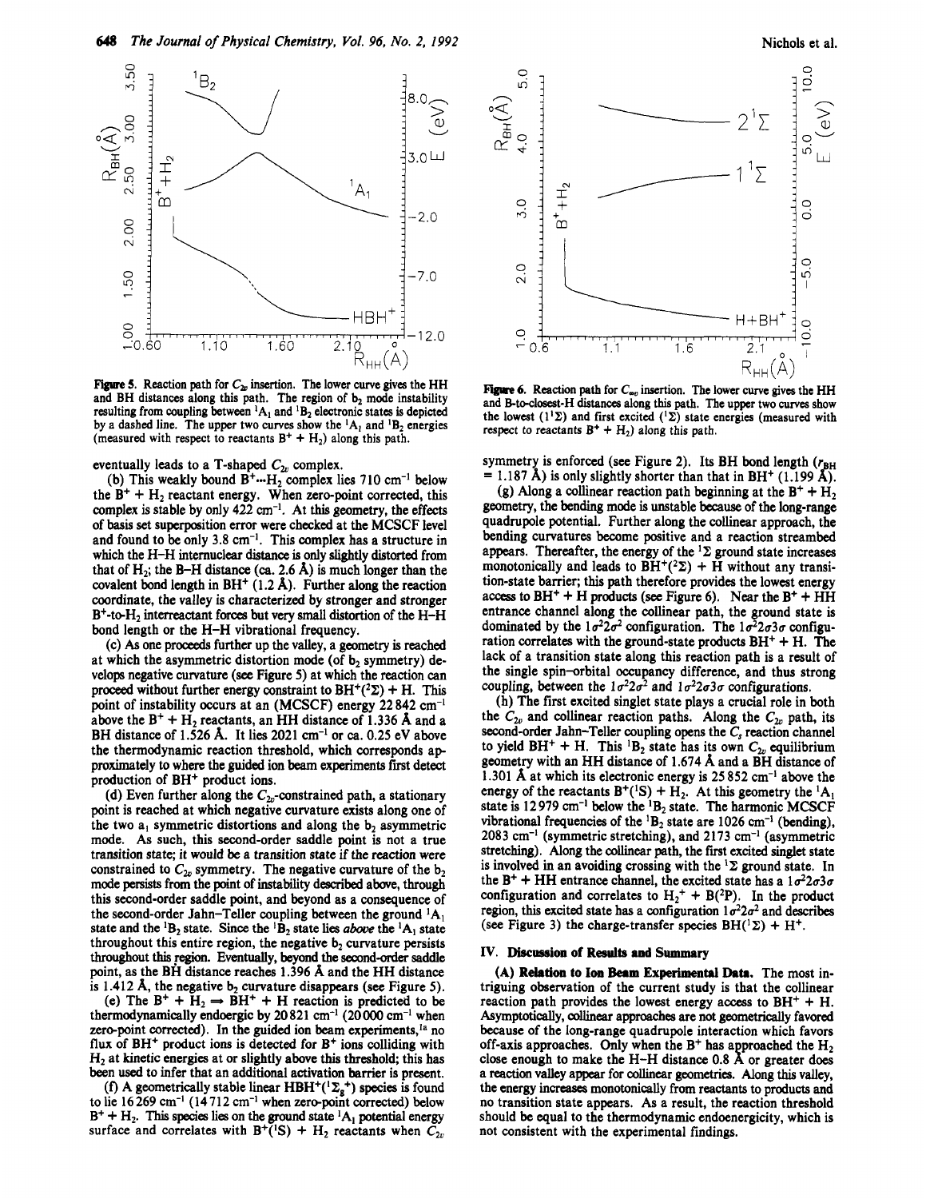

Figure 5. Reaction path for  $C_{2v}$  insertion. The lower curve gives the HH and BH distances along this path. The region of  $b_2$  mode instability resulting from coupling between <sup>1</sup>A<sub>1</sub> and <sup>1</sup>B<sub>2</sub> electronic states is depicted by a dashed line. The upper two curves show the  ${}^{1}A_1$  and  ${}^{1}B_2$  energies (measured with respect to reactants  $B^+ + H_2$ ) along this path.

eventually leads to a T-shaped  $C_{2v}$  complex.

(b) This weakly bound **B+-.H2** complex lies **710** cm-' below the  $B^+ + H_2$  reactant energy. When zero-point corrected, this complex is stable by only **422 an-'.** At this geometry, the effects of **basis** set superposition error were checked at the MCSCF level and found to be only **3.8** cm-I. This complex has a structure in which the **H-H** internuclear **distance** is only slightly distorted from that of  $H_2$ ; the B-H distance (ca. 2.6  $\AA$ ) is much longer than the covalent bond length in **BH+ (1.2 A).** Further along the reaction coordinate, the valley is characterized by stronger and stronger **B+-teH,** interreactant forces but very **small** distortion of the **H-H**  bond length **or** the **H-H** vibrational frequency.

(c) *As* one proceeds further up the valley, a geometry is reached at which the asymmetric distortion mode (of  $b<sub>2</sub>$  symmetry) develops negative curvature (see Figure 5) at which the reaction can proceed without further energy constraint to  $BH^+(2\Sigma) + H$ . This point of instability occurs at an (MCSCF) energy **22 842** cm-l above the  $B^+ + H_2$  reactants, an HH distance of 1.336 Å and a **BH** distance of **1.526 A.** It lies **2021** *cm-'* or *ca.* **0.25** eV above the thermodynamic reaction threshold, which corresponds ap proximately to where the guided ion beam experiments first detect production of **BH+** product ions.

(d) Even further along the  $C_{2v}$ -constrained path, a stationary point is reached at which negative curvature exists along one of the two  $a_1$  symmetric distortions and along the  $b_2$  asymmetric mode. As such, this second-order saddle point is not a true transition state; it would be a transition state if the reaction were constrained to  $C_{2v}$  symmetry. The negative curvature of the  $b_2$ mode persists from the point of instability described above, through this second-order saddle point, and beyond **as** a consequence of the second-order Jahn-Teller coupling between the ground **'A,**  state and the <sup>1</sup>B<sub>2</sub> state. Since the <sup>1</sup>B<sub>2</sub> state lies *above* the <sup>1</sup>A<sub>1</sub> state throughout this entire region, the negative  $b<sub>2</sub>$  curvature persists throughout this region. Eventually, beyond the second-order saddle point, **as** the **BH** distance reaches **1.396 A** and the **HH** distance is  $1.412$  Å, the negative  $b_2$  curvature disappears (see Figure 5).

(e) The  $B^+ + H_2 \rightarrow BH^+ + H$  reaction is predicted to be thermodynamically endoergic by **20821** *cm-'* **(20000** *cm-'* when zero-point corrected). In the guided ion beam experiments,<sup>1a</sup> no flux of **BH+** product ions is detected for **B+** ions colliding with **H2** at kinetic energies at or slightly above this threshold; this has been used to infer that an additional activation barrier is present.

(f) A geometrically stable linear  $HBH^+({}^{1}\Sigma_g^+)$  species is found to lie **16 269** cm-' ( **14 7 12** cm-' when zerepoint corrected) below  $B^+ + H_2$ . This species lies on the ground state <sup>1</sup>A<sub>1</sub> potential energy surface and correlates with  $B^{+}(^1S) + H_2$  reactants when  $C_{2v}$ 



Figure 6. Reaction path for  $C_{\infty}$  insertion. The lower curve gives the HH and B-to-closest-H distances along this path. The upper two curves show the lowest  $(1^1\Sigma)$  and first excited  $(1^1\Sigma)$  state energies (measured with respect to reactants  $B^+ + H_2$ ) along this path.

symmetry is enforced (see Figure 2). Its BH bond length  $(r_{BH} = 1.187 \text{ Å})$  is only slightly shorter than that in BH<sup>+</sup> (1.199 Å).

(g) Along a collinear reaction path beginning at the  $B^+ + H_2$ geometry, the bending mode is unstable **because** of the long-range quadrupole potential. Further along the collinear approach, the bending curvatures become positive and a reaction streambed appears. Thereafter, the energy of the **'2** ground state increases monotonically and leads to  $BH^+(2\Sigma)$  +  $\overline{H}$  without any transition-state barrier; this path therefore provides the lowest energy access to  $BH^+ + H$  products (see Figure 6). Near the  $B^+ + H\overline{H}$ entrance channel along the collinear path, the ground state is dominated by the  $1\sigma^2 2\sigma^2$  configuration. The  $1\sigma^2 2\sigma^2 \sigma$  configuration correlates with the ground-state products  $BH^+ + H$ . The lack of a transition state along this reaction path is a result of the single spin-orbital occupancy difference, and thus strong coupling, between the  $1\sigma^2 2\sigma^2$  and  $1\sigma^2 2\sigma 3\sigma$  configurations.

**(h)** The first excited singlet state plays a crucial role in both the  $C_{2v}$  and collinear reaction paths. Along the  $C_{2v}$  path, its second-order Jahn-Teller coupling opens the  $C_s$  reaction channel to yield  $BH^+ + H$ . This <sup>1</sup>B<sub>2</sub> state has its own  $C_{2v}$  equilibrium geometry with an **HH** distance of **1.674 A** and a **BH** distance of **1.301 A** at which its electronic energy is **25 852** cm-I above the energy of the reactants  $B^+(^1S) + H_2$ . At this geometry the <sup>1</sup>A<sub>1</sub> state is **12 979** *cm-'* below the **'B2** state. The harmonic MCSCF vibrational frequencies of the <sup>1</sup>B<sub>2</sub> state are 1026 cm<sup>-1</sup> (bending), **2083** cm-l (symmetric stretching), and **2173** cm-' (asymmetric stretching). Along the collinear path, the first excited singlet state is involved in an avoiding crossing with the  ${}^{1}\Sigma$  ground state. In the  $B^+$  + HH entrance channel, the excited state has a  $1\sigma^2 2\sigma 3\sigma$ configuration and correlates to  $H_2^+ + B(^2P)$ . In the product region, this excited state has a configuration  $1\sigma^2 2\sigma^2$  and describes (see Figure 3) the charge-transfer species  $BH(^1\Sigma) + H^+$ .

## **IV.** Discussion of Results and Summary

**(A) Relation to Ion Beam Experimental Data.** The most intriguing observation of the current study is that the collinear reaction path provides the lowest energy access to  $BH^+ + H$ . Asymptotically, collinear approaches are not geometrically favored because of the long-range quadrupole interaction which favors off-axis approaches. Only when the B<sup>+</sup> has approached the H<sub>2</sub> a **reaction** valley appear for **collinear** geometries. Along this valley, the *energy* increases monotonically from reactants **to** products and no transition state appears. As a result, the reaction threshold should be equal to the thermodynamic endoenergicity, which is not consistent with the experimental findings. close enough to make the **H-H** distance **0.8** *f* or greater does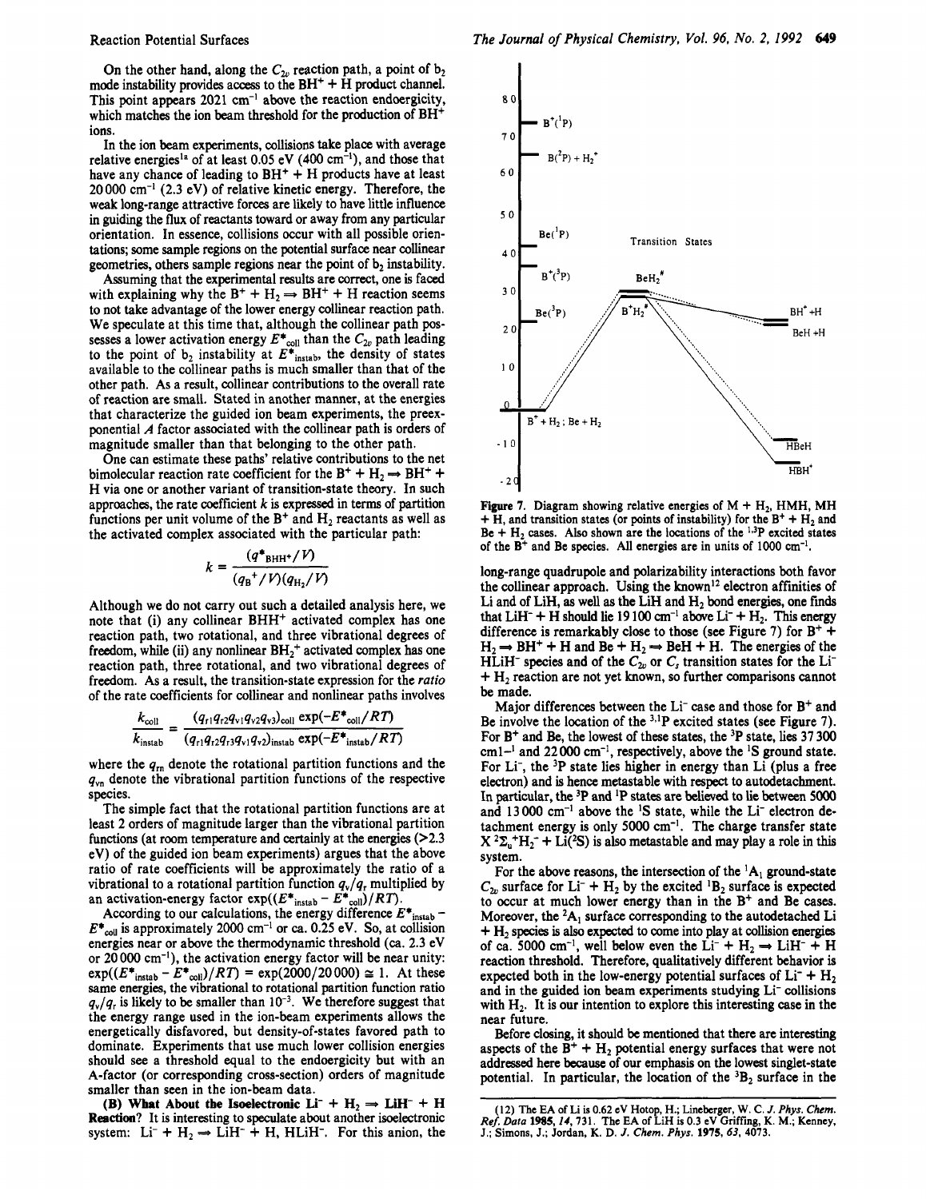On the other hand, along the  $C_{2v}$  reaction path, a point of  $b_2$ mode instability provides access to the  $BH<sup>+</sup> + H$  product channel. This point appears  $2021 \text{ cm}^{-1}$  above the reaction endoergicity, which matches the ion beam threshold for the production of BH<sup>+</sup> ions.

In the ion beam experiments, collisions take place with average relative energies<sup>1a</sup> of at least 0.05 eV (400 cm<sup>-1</sup>), and those that have any chance of leading to  $BH<sup>+</sup> + H$  products have at least 20 000 cm-' (2.3 eV) of relative kinetic energy. Therefore, the weak long-range attractive forces are likely to have little influence in guiding the **flux** of reactants toward or away from any particular orientation. **In** essence, collisions occur with all possible orientations; some sample regions **on** the potential surface near collinear geometries, others sample regions near the point of b<sub>2</sub> instability.

Assuming that the experimental results are correct, one is faced with explaining why the  $B^+ + H_2 \Rightarrow BH^+ + H$  reaction seems to not take advantage of the lower energy collinear reaction path. We speculate at this time that, although the collinear path possesses a lower activation energy  $E^*_{\text{coll}}$  than the  $C_{2v}$  path leading to the point of  $b_2$  instability at  $E^*$ <sub>instab</sub>, the density of states available to the collinear paths is much smaller than that of the other path. As a result, collinear contributions to the overall rate of reaction are small. Stated **in** another manner, at the energies that characterize the guided ion beam experiments, the preexponential A factor associated with the collinear path is orders of magnitude smaller than that belonging to the other path.

One can estimate these paths' relative contributions to the net bimolecular reaction rate coefficient for the  $B^+ + H_2 \rightarrow BH^+ +$ H via one or another variant of transition-state theory. **In** such approaches, the rate coefficient  $k$  is expressed in terms of partition functions per unit volume of the  $B^+$  and  $H_2$  reactants as well as the activated complex associated with the particular path:

$$
k = \frac{(q^*_{\text{BHH}^+}/V)}{(q_{\text{B}}^+/V)(q_{\text{H}_2}/V)}
$$

Although we do not carry out such a detailed analysis here, we note that (i) any collinear BHH<sup>+</sup> activated complex has one reaction path, two rotational, and three vibrational degrees of freedom, while (ii) any nonlinear  $BH<sub>2</sub>$ <sup>+</sup> activated complex has one reaction path, three rotational, and two vibrational degrees of freedom. As a result, the transition-state expression for the *ratio*  of the rate coefficients for collinear and nonlinear paths involves

$$
\frac{k_{\text{coll}}}{k_{\text{instab}}} = \frac{(q_{r1}q_{r2}q_{v1}q_{v2}q_{v3})_{\text{coll}} \exp(-E_{\text{coll}}/RT)}{(q_{r1}q_{r2}q_{r3}q_{v1}q_{v2})_{\text{instab}} \exp(-E_{\text{instab}}/RT)}
$$

where the  $q_m$  denote the rotational partition functions and the **qvn** denote the vibrational partition functions of the respective species.

The simple fact that the rotational partition functions are at least 2 orders of magnitude larger than the vibrational partition functions (at room temperature and certainly at the energies  $(2.3)$ eV) of the guided ion beam experiments) argues that the above ratio of rate coefficients will be approximately the ratio of a vibrational to a rotational partition function  $q_v/q<sub>r</sub>$  multiplied by an activation-energy factor  $exp((E^*_{instab} - E^*_{coll})/RT)$ .

According to our calculations, the energy difference  $E^*$ <sub>instab</sub> - $E^*_{\text{coll}}$  is approximately 2000 cm<sup>-1</sup> or ca. 0.25 eV. So, at collision energies near or above the thermodynamic threshold (ca. 2.3 eV or  $20000 \text{ cm}^{-1}$ ), the activation energy factor will be near unity:  $exp((E^*_{\text{instab}} - E^*_{\text{coll}})/RT) = exp(2000/20000) \approx 1.$  At these same energies, the vibrational to rotational partition function ratio  $q_v/q_r$  is likely to be smaller than 10<sup>-3</sup>. We therefore suggest that the energy range used in the ion-beam experiments allows the energetically disfavored, but density-of-states favored path to dominate. Experiments that use much lower collision energies should see a threshold equal to the endoergicity but with an A-factor (or corresponding cross-section) orders of magnitude smaller than seen in the ion-beam data.

**(B)** What About the Isoelectronic  $Li^- + H_2 \Rightarrow LiH^- + H$ **Reaction?** It is interesting to speculate about another isoelectronic system:  $Li^- + H_2 \rightarrow \overline{LiH^-} + H$ , HLiH<sup>-</sup>. For this anion, the



Figure 7. Diagram showing relative energies of  $M + H_2$ , HMH, MH  $+$  **H**, and transition states (or points of instability) for the  $B^+$  +  $H_2$  and  $Be + H_2$  cases. Also shown are the locations of the <sup>1,3</sup>P excited states of the Bt and Be species. All energies are in units of **1000** cm-'.

long-range quadrupole and polarizability interactions both favor the collinear approach. Using the known<sup>12</sup> electron affinities of Li and of LiH, **as** well **as** the LiH and **H2** bond energies, one **finds**  that  $LiH^- + H$  should lie 19 100 cm<sup>-1</sup> above  $Li^- + H_2$ . This energy difference is remarkably close to those (see Figure 7) for  $B^+$  +  $H_2 \rightarrow BH^+ + H$  and  $Be + H_2 \rightarrow BeH + H$ . The energies of the HLiH<sup>-</sup> species and of the  $C_{2v}$  or  $C_s$  transition states for the Li<sup>-</sup>  $+ H<sub>2</sub>$  reaction are not yet known, so further comparisons cannot be made.

Major differences between the  $Li^-$  case and those for  $B^+$  and Be involve the location of the <sup>3,1</sup>P excited states (see Figure 7). For B+ and Be, the lowest of these states, the 3P state, **lies** 37 300 cml-' and 22000 cm-', respectively, above the **'S** ground state. For Li<sup>-</sup>, the <sup>3</sup>P state lies higher in energy than Li (plus a free electron) and is hence metastable with respect to autodetachment. In particular, **the** 3P and **'P** states are believed to lie between 5000 and 13000 cm-' above the **'S** state, while the Li- electron detachment energy is only 5000  $cm^{-1}$ . The charge transfer state  $X^2\Sigma_{u}^+H_2^-$  + Li(<sup>2</sup>S) is also metastable and may play a role in this system.

For the above reasons, the intersection of the  ${}^{1}A_1$  ground-state  $C_{2v}$  surface for Li<sup>-</sup> + H<sub>2</sub> by the excited <sup>1</sup>B<sub>2</sub> surface is expected to occur at much lower energy than in the **B+** and Be cases. Moreover, the  ${}^{2}A_1$  surface corresponding to the autodetached Li + **H2 species** is also expected to come into play at collision energies of ca. 5000 cm<sup>-1</sup>, well below even the  $Li^- + H_2 \rightarrow LiH^- + H$ reaction threshold. Therefore, qualitatively different behavior is expected both in the low-energy potential surfaces of  $Li^- + H_2$ and in the guided ion beam experiments studying Li<sup>-</sup> collisions with  $H_2$ . It is our intention to explore this interesting case in the near future.

Before closing, it should be mentioned that there are interesting aspects of the  $B^+ + H_2$  potential energy surfaces that were not addressed here **because** of our emphasis **on** the lowest singlet-state potential. In particular, the location of the  ${}^{3}B_{2}$  surface in the

**<sup>(12)</sup> The EA of Li is 0.62 eV Hotop, H.; Lineberger, W. C.** *J. Phys. Ckm. Ref. Data* **1985,** *Z4,* **731. The EA of LiH is 0.3 eV Griffng, K. M.; Kenney. J.; Simons, J.; Jordan, K. D.** *J. Chem. Phys.* **1975,63, 4073.**